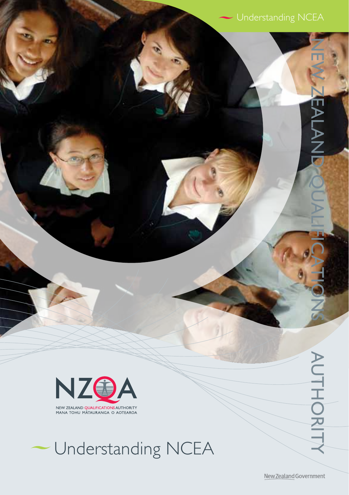

MANA TOHU MATAURANGA O AOTEAROA

# Understanding NCEA

New Zealand Government

NEW ZEALAND QUALIFICATIONS AUTHORITY

AUTHORIT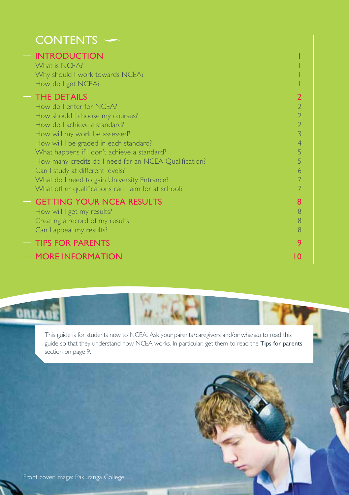| <b>CONTENTS</b>                                                                                                                                                                                                                                                                                                                                                                                                                                                                                                                                |                                                                                               |
|------------------------------------------------------------------------------------------------------------------------------------------------------------------------------------------------------------------------------------------------------------------------------------------------------------------------------------------------------------------------------------------------------------------------------------------------------------------------------------------------------------------------------------------------|-----------------------------------------------------------------------------------------------|
| <b>INTRODUCTION</b><br>What is NCFA?<br>Why should I work towards NCEA?<br>How do I get NCEA?<br><b>THE DETAILS</b><br>How do I enter for NCEA?<br>How should I choose my courses?<br>How do I achieve a standard?<br>How will my work be assessed?<br>How will I be graded in each standard?<br>What happens if I don't achieve a standard?<br>How many credits do I need for an NCEA Qualification?<br>Can I study at different levels?<br>What do I need to gain University Entrance?<br>What other qualifications can I aim for at school? | $\overline{2}$<br>$\overline{2}$<br>$\overline{2}$<br>3<br>$\overline{4}$<br>5<br>5<br>6<br>7 |
| <b>GETTING YOUR NCEA RESULTS</b><br>How will I get my results?<br>Creating a record of my results<br>Can I appeal my results?<br><b>TIPS FOR PARENTS</b>                                                                                                                                                                                                                                                                                                                                                                                       | 8<br>8<br>8<br>8<br>9                                                                         |
| <b>MORE INFORMATION</b>                                                                                                                                                                                                                                                                                                                                                                                                                                                                                                                        | ۱۵                                                                                            |



guide so that they understand how NCEA works. In particular, get them to read the Tips for parents section on page 9.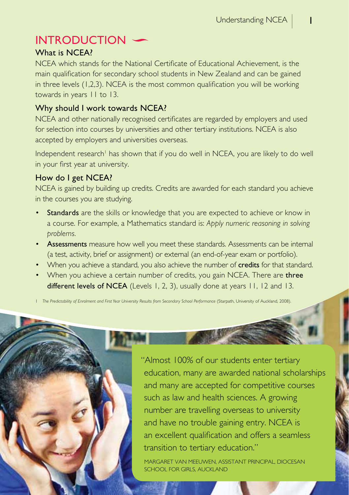# **INTRODUCTION**

# What is NCFA?

NCEA which stands for the National Certificate of Educational Achievement, is the main qualification for secondary school students in New Zealand and can be gained in three levels (1,2,3). NCEA is the most common qualification you will be working towards in years 11 to 13.

# Why should I work towards NCEA?

NCEA and other nationally recognised certificates are regarded by employers and used for selection into courses by universities and other tertiary institutions. NCEA is also accepted by employers and universities overseas.

Independent research' has shown that if you do well in NCEA, you are likely to do well in your first year at university.

# How do I get NCEA?

NCEA is gained by building up credits. Credits are awarded for each standard you achieve in the courses you are studying.

- Standards are the skills or knowledge that you are expected to achieve or know in a course. For example, a Mathematics standard is: *Apply numeric reasoning in solving problems.*
- Assessments measure how well you meet these standards. Assessments can be internal (a test, activity, brief or assignment) or external (an end-of-year exam or portfolio).
- When you achieve a standard, you also achieve the number of credits for that standard.
- When you achieve a certain number of credits, you gain NCEA. There are **three** different levels of NCEA (Levels 1, 2, 3), usually done at years 11, 12 and 13.

1 *The Predictability of Enrolment and First Year University Results from Secondary School Performance* (Starpath, University of Auckland, 2008).

"Almost 100% of our students enter tertiary education, many are awarded national scholarships and many are accepted for competitive courses such as law and health sciences. A growing number are travelling overseas to university and have no trouble gaining entry. NCEA is an excellent qualification and offers a seamless transition to tertiary education."

Margaret van Meeuwen, Assistant Principal, Diocesan School for Girls, Auckland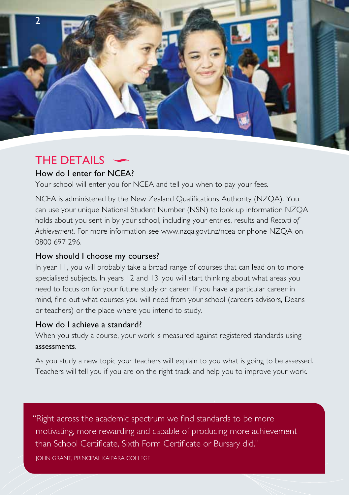

# **THE DETAILS**

# How do I enter for NCEA?

Your school will enter you for NCEA and tell you when to pay your fees.

NCEA is administered by the New Zealand Qualifications Authority (NZQA). You can use your unique National Student Number (NSN) to look up information NZQA holds about you sent in by your school, including your entries, results and *Record of Achievement*. For more information see [www.nzqa.govt.nz/ncea](http://www.nzqa.govt.nz/ncea) or phone NZQA on 0800 697 296.

# How should I choose my courses?

In year 11, you will probably take a broad range of courses that can lead on to more specialised subjects. In years 12 and 13, you will start thinking about what areas you need to focus on for your future study or career. If you have a particular career in mind, find out what courses you will need from your school (careers advisors, Deans or teachers) or the place where you intend to study.

# How do I achieve a standard?

When you study a course, your work is measured against registered standards using assessments.

As you study a new topic your teachers will explain to you what is going to be assessed. Teachers will tell you if you are on the right track and help you to improve your work.

"Right across the academic spectrum we find standards to be more motivating, more rewarding and capable of producing more achievement than School Certificate, Sixth Form Certificate or Bursary did."

John Grant, Principal Kaipara College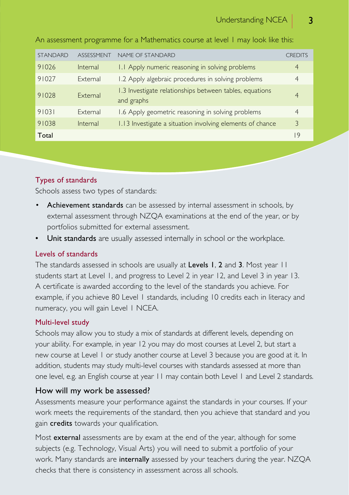| <b>STANDARD</b> | <b>ASSESSMENT</b> | NAME OF STANDARD                                                      | <b>CREDITS</b> |
|-----------------|-------------------|-----------------------------------------------------------------------|----------------|
| 91026           | Internal          | 1.1 Apply numeric reasoning in solving problems                       | $\overline{4}$ |
| 91027           | External          | 1.2 Apply algebraic procedures in solving problems                    | $\overline{4}$ |
| 91028           | External          | 1.3 Investigate relationships between tables, equations<br>and graphs | $\overline{4}$ |
| 91031           | External          | 1.6 Apply geometric reasoning in solving problems                     | $\overline{4}$ |
| 91038           | Internal          | 1.13 Investigate a situation involving elements of chance             | 3              |
| Total           |                   |                                                                       | 19             |

An assessment programme for a Mathematics course at level 1 may look like this:

# Types of standards

Schools assess two types of standards:

- Achievement standards can be assessed by internal assessment in schools, by external assessment through NZQA examinations at the end of the year, or by portfolios submitted for external assessment.
- Unit standards are usually assessed internally in school or the workplace.

#### Levels of standards

The standards assessed in schools are usually at Levels 1, 2 and 3. Most year 11 students start at Level 1, and progress to Level 2 in year 12, and Level 3 in year 13. A certificate is awarded according to the level of the standards you achieve. For example, if you achieve 80 Level 1 standards, including 10 credits each in literacy and numeracy, you will gain Level 1 NCEA.

#### Multi-level study

Schools may allow you to study a mix of standards at different levels, depending on your ability. For example, in year 12 you may do most courses at Level 2, but start a new course at Level 1 or study another course at Level 3 because you are good at it. In addition, students may study multi-level courses with standards assessed at more than one level, e.g. an English course at year 11 may contain both Level 1 and Level 2 standards.

#### How will my work be assessed?

Assessments measure your performance against the standards in your courses. If your work meets the requirements of the standard, then you achieve that standard and you gain credits towards your qualification.

Most external assessments are by exam at the end of the year, although for some subjects (e.g. Technology, Visual Arts) you will need to submit a portfolio of your work. Many standards are internally assessed by your teachers during the year. NZOA checks that there is consistency in assessment across all schools.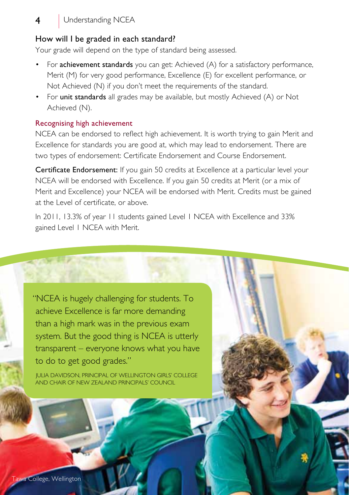# 4 | Understanding NCEA

#### How will I be graded in each standard?

Your grade will depend on the type of standard being assessed.

- For **achievement standards** you can get: Achieved (A) for a satisfactory performance, Merit (M) for very good performance, Excellence (E) for excellent performance, or Not Achieved (N) if you don't meet the requirements of the standard.
- For unit standards all grades may be available, but mostly Achieved (A) or Not Achieved (N).

#### Recognising high achievement

NCEA can be endorsed to reflect high achievement. It is worth trying to gain Merit and Excellence for standards you are good at, which may lead to endorsement. There are two types of endorsement: Certificate Endorsement and Course Endorsement.

Certificate Endorsement: If you gain 50 credits at Excellence at a particular level your NCEA will be endorsed with Excellence. If you gain 50 credits at Merit (or a mix of Merit and Excellence) your NCEA will be endorsed with Merit. Credits must be gained at the Level of certificate, or above.

In 2011, 13.3% of year 11 students gained Level 1 NCEA with Excellence and 33% gained Level 1 NCEA with Merit.

"NCEA is hugely challenging for students. To achieve Excellence is far more demanding than a high mark was in the previous exam system. But the good thing is NCEA is utterly transparent – everyone knows what you have to do to get good grades."

Julia Davidson, Principal of Wellington Girls' College and Chair of New Zealand Principals' Council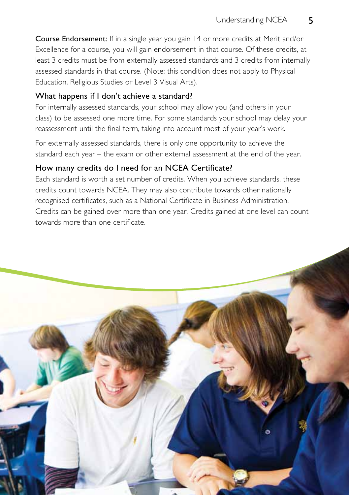Course Endorsement: If in a single year you gain 14 or more credits at Merit and/or Excellence for a course, you will gain endorsement in that course. Of these credits, at least 3 credits must be from externally assessed standards and 3 credits from internally assessed standards in that course. (Note: this condition does not apply to Physical Education, Religious Studies or Level 3 Visual Arts).

### What happens if I don't achieve a standard?

For internally assessed standards, your school may allow you (and others in your class) to be assessed one more time. For some standards your school may delay your reassessment until the final term, taking into account most of your year's work.

For externally assessed standards, there is only one opportunity to achieve the standard each year – the exam or other external assessment at the end of the year.

# How many credits do I need for an NCEA Certificate?

Each standard is worth a set number of credits. When you achieve standards, these credits count towards NCEA. They may also contribute towards other nationally recognised certificates, such as a National Certificate in Business Administration. Credits can be gained over more than one year. Credits gained at one level can count towards more than one certificate.

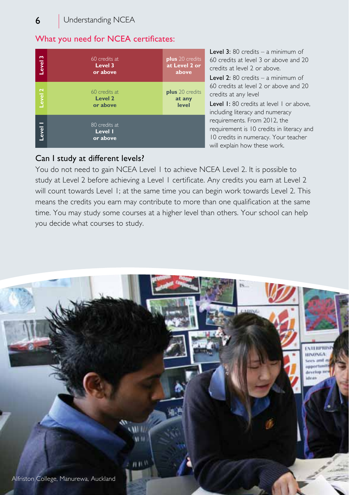# What you need for NCEA certificates:

| Level 3            | 60 credits at<br>Level 3<br>or above | plus 20 credits<br>at Level 2 or<br>above |
|--------------------|--------------------------------------|-------------------------------------------|
| Level <sub>2</sub> | 60 credits at<br>Level 2<br>or above | plus 20 credits<br>at any<br>level        |
| Level 1            | 80 credits at<br>Level I<br>or above |                                           |

**Level 3:** 80 credits – a minimum of 60 credits at level 3 or above and 20 credits at level 2 or above.

Level 2: 80 credits – a minimum of 60 credits at level 2 or above and 20 credits at any level

Level 1: 80 credits at level 1 or above. including literacy and numeracy requirements. From 2012, the requirement is 10 credits in literacy and 10 credits in numeracy. Your teacher will explain how these work.

# Can I study at different levels?

You do not need to gain NCEA Level 1 to achieve NCEA Level 2. It is possible to study at Level 2 before achieving a Level 1 certificate. Any credits you earn at Level 2 will count towards Level 1; at the same time you can begin work towards Level 2. This means the credits you earn may contribute to more than one qualification at the same time. You may study some courses at a higher level than others. Your school can help you decide what courses to study.

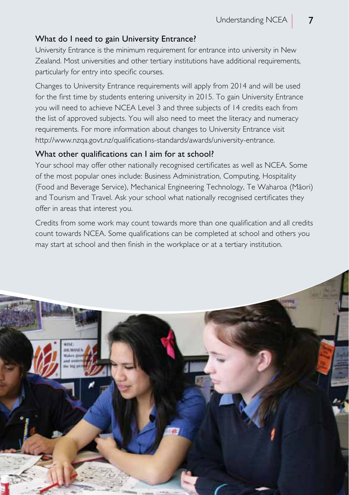### What do I need to gain University Entrance?

University Entrance is the minimum requirement for entrance into university in New Zealand. Most universities and other tertiary institutions have additional requirements, particularly for entry into specific courses.

Changes to University Entrance requirements will apply from 2014 and will be used for the first time by students entering university in 2015. To gain University Entrance you will need to achieve NCEA Level 3 and three subjects of 14 credits each from the list of approved subjects. You will also need to meet the literacy and numeracy requirements. For more information about changes to University Entrance visit http://www.nzqa.govt.nz/qualifications-standards/awards/university-entrance.

#### What other qualifications can I aim for at school?

Your school may offer other nationally recognised certificates as well as NCEA. Some of the most popular ones include: Business Administration, Computing, Hospitality (Food and Beverage Service), Mechanical Engineering Technology, Te Waharoa (Mäori) and Tourism and Travel. Ask your school what nationally recognised certificates they offer in areas that interest you.

Credits from some work may count towards more than one qualification and all credits count towards NCEA. Some qualifications can be completed at school and others you may start at school and then finish in the workplace or at a tertiary institution.

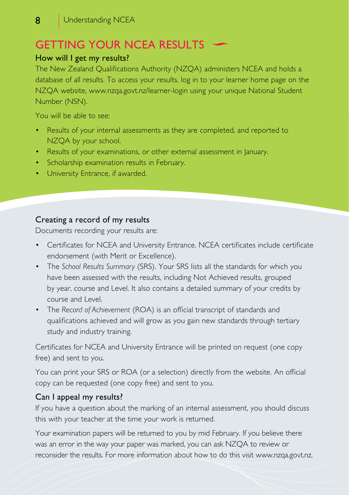# Getting your NCEA Results

### How will I get my results?

The New Zealand Qualifications Authority (NZQA) administers NCEA and holds a database of all results. To access your results, log in to your learner home page on the NZQA website, [www.nzqa.govt.nz/learner-login](http://www.nzqa.govt.nz/learner-login) using your unique National Student Number (NSN).

You will be able to see:

- Results of your internal assessments as they are completed, and reported to NZQA by your school.
- Results of your examinations, or other external assessment in January.
- Scholarship examination results in February.
- University Entrance, if awarded.

# Creating a record of my results

Documents recording your results are:

- Certificates for NCEA and University Entrance. NCEA certificates include certificate endorsement (with Merit or Excellence).
- The *School Results Summary* (SRS). Your SRS lists all the standards for which you have been assessed with the results, including Not Achieved results, grouped by year, course and Level. It also contains a detailed summary of your credits by course and Level.
- The *Record of Achievement* (ROA) is an official transcript of standards and qualifications achieved and will grow as you gain new standards through tertiary study and industry training.

Certificates for NCEA and University Entrance will be printed on request (one copy free) and sent to you.

You can print your SRS or ROA (or a selection) directly from the website. An official copy can be requested (one copy free) and sent to you.

# Can I appeal my results?

If you have a question about the marking of an internal assessment, you should discuss this with your teacher at the time your work is returned.

Your examination papers will be returned to you by mid February. If you believe there was an error in the way your paper was marked, you can ask NZQA to review or reconsider the results. For more information about how to do this visit www.nzqa.govt.nz.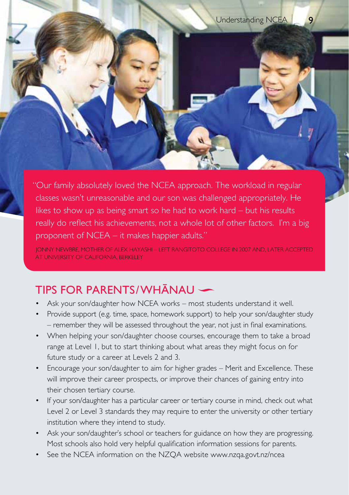"Our family absolutely loved the NCEA approach. The workload in regular classes wasn't unreasonable and our son was challenged appropriately. He likes to show up as being smart so he had to work hard – but his results really do reflect his achievements, not a whole lot of other factors. I'm a big proponent of NCEA – it makes happier adults."

Jonny Newbre, mother of Alex Hayashi – left Rangitoto College in 2007 and, later accepted .<br>AT UNIVERSITY OF CALIFORNIA, BERKELEY

# Tips for parents/WhÄnau

- Ask your son/daughter how NCEA works most students understand it well.
- Provide support (e.g. time, space, homework support) to help your son/daughter study – remember they will be assessed throughout the year, not just in final examinations.
- When helping your son/daughter choose courses, encourage them to take a broad range at Level 1, but to start thinking about what areas they might focus on for future study or a career at Levels 2 and 3.
- Encourage your son/daughter to aim for higher grades Merit and Excellence. These will improve their career prospects, or improve their chances of gaining entry into their chosen [tertiary](http://www.teamup.co.nz/Teen/SchoolEducation/LearningAtSchool/NCEA/NCEAAndUniversity.aspx) course.
- If your son/daughter has a particular career or tertiary course in mind, check out what Level 2 or Level 3 standards they may require to enter the university or other tertiary institution where they intend to study.
- Ask your son/daughter's school or teachers for guidance on how they are progressing. Most schools also hold very helpful qualification information sessions for parents.
- See the NCEA information on the NZQA website [www.nzqa.govt.nz/ncea](http://www.nzqa.govt.nz/ncea)